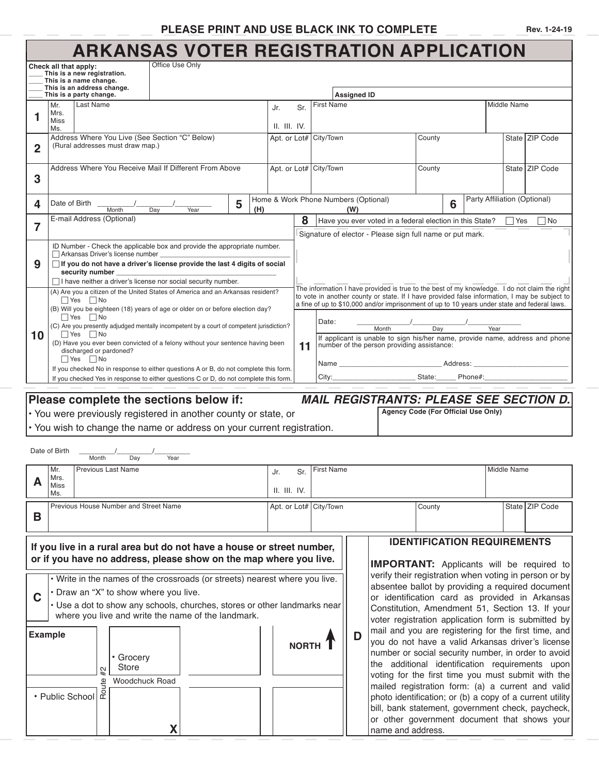## **PLEASE PRINT AND USE BLACK INK TO COMPLETE**

|  | Rev. 1-24-19 |
|--|--------------|
|--|--------------|

## **ARKANSAS VOTER REGISTRATION APPLICATION**

|                                                                                                                                            |                                                                           |                                                       | ANNANSAS VUTEN NEGISTNATION APPEIUATION                                                   |   |                                                  |              |                                                                                                      |                                                |                                      |                                                           |        |          |                                    |             |                                                                                                                                                                                               |  |
|--------------------------------------------------------------------------------------------------------------------------------------------|---------------------------------------------------------------------------|-------------------------------------------------------|-------------------------------------------------------------------------------------------|---|--------------------------------------------------|--------------|------------------------------------------------------------------------------------------------------|------------------------------------------------|--------------------------------------|-----------------------------------------------------------|--------|----------|------------------------------------|-------------|-----------------------------------------------------------------------------------------------------------------------------------------------------------------------------------------------|--|
|                                                                                                                                            | Check all that apply:                                                     |                                                       | Office Use Only                                                                           |   |                                                  |              |                                                                                                      |                                                |                                      |                                                           |        |          |                                    |             |                                                                                                                                                                                               |  |
|                                                                                                                                            |                                                                           | This is a new registration.<br>This is a name change. |                                                                                           |   |                                                  |              |                                                                                                      |                                                |                                      |                                                           |        |          |                                    |             |                                                                                                                                                                                               |  |
|                                                                                                                                            |                                                                           | This is an address change.                            |                                                                                           |   |                                                  |              |                                                                                                      |                                                |                                      |                                                           |        |          |                                    |             |                                                                                                                                                                                               |  |
|                                                                                                                                            |                                                                           | This is a party change.<br>Last Name                  |                                                                                           |   |                                                  |              |                                                                                                      |                                                | <b>Assigned ID</b>                   |                                                           |        |          |                                    |             |                                                                                                                                                                                               |  |
|                                                                                                                                            | Mr.<br>Mrs.                                                               |                                                       |                                                                                           |   |                                                  | Jr.          | Sr.                                                                                                  | First Name                                     |                                      |                                                           |        |          |                                    | Middle Name |                                                                                                                                                                                               |  |
| 1                                                                                                                                          | Miss                                                                      |                                                       |                                                                                           |   |                                                  | II. III. IV. |                                                                                                      |                                                |                                      |                                                           |        |          |                                    |             |                                                                                                                                                                                               |  |
|                                                                                                                                            | Ms.                                                                       |                                                       |                                                                                           |   |                                                  |              |                                                                                                      |                                                |                                      |                                                           |        |          |                                    |             |                                                                                                                                                                                               |  |
| Address Where You Live (See Section "C" Below)<br>(Rural addresses must draw map.)                                                         |                                                                           |                                                       |                                                                                           |   |                                                  |              | Apt. or Lot# City/Town                                                                               |                                                |                                      | County                                                    |        |          |                                    |             | State <b>ZIP</b> Code                                                                                                                                                                         |  |
| 2                                                                                                                                          |                                                                           |                                                       |                                                                                           |   |                                                  |              |                                                                                                      |                                                |                                      |                                                           |        |          |                                    |             |                                                                                                                                                                                               |  |
|                                                                                                                                            |                                                                           |                                                       | Address Where You Receive Mail If Different From Above                                    |   |                                                  |              |                                                                                                      | Apt. or Lot# City/Town                         |                                      | County                                                    |        |          | State <b>ZIP</b> Code              |             |                                                                                                                                                                                               |  |
| 3                                                                                                                                          |                                                                           |                                                       |                                                                                           |   |                                                  |              |                                                                                                      |                                                |                                      |                                                           |        |          |                                    |             |                                                                                                                                                                                               |  |
|                                                                                                                                            |                                                                           |                                                       |                                                                                           |   |                                                  |              |                                                                                                      |                                                |                                      |                                                           |        |          |                                    |             |                                                                                                                                                                                               |  |
|                                                                                                                                            | Date of Birth                                                             |                                                       |                                                                                           | 5 |                                                  |              |                                                                                                      |                                                | Home & Work Phone Numbers (Optional) |                                                           |        |          | Party Affiliation (Optional)       |             |                                                                                                                                                                                               |  |
| 4                                                                                                                                          |                                                                           | Month                                                 | Day<br>Year                                                                               |   | (H)                                              |              |                                                                                                      |                                                | (W)                                  |                                                           |        | 6        |                                    |             |                                                                                                                                                                                               |  |
|                                                                                                                                            |                                                                           | E-mail Address (Optional)                             |                                                                                           |   |                                                  |              | 8                                                                                                    |                                                |                                      | Have you ever voted in a federal election in this State?  |        |          |                                    | Yes         | ∏No                                                                                                                                                                                           |  |
| 7                                                                                                                                          |                                                                           |                                                       |                                                                                           |   |                                                  |              |                                                                                                      |                                                |                                      | Signature of elector - Please sign full name or put mark. |        |          |                                    |             |                                                                                                                                                                                               |  |
|                                                                                                                                            |                                                                           |                                                       | ID Number - Check the applicable box and provide the appropriate number.                  |   |                                                  |              |                                                                                                      |                                                |                                      |                                                           |        |          |                                    |             |                                                                                                                                                                                               |  |
|                                                                                                                                            |                                                                           | Arkansas Driver's license number                      |                                                                                           |   |                                                  |              |                                                                                                      |                                                |                                      |                                                           |        |          |                                    |             |                                                                                                                                                                                               |  |
| 9                                                                                                                                          |                                                                           |                                                       | □ If you do not have a driver's license provide the last 4 digits of social               |   |                                                  |              |                                                                                                      |                                                |                                      |                                                           |        |          |                                    |             |                                                                                                                                                                                               |  |
|                                                                                                                                            |                                                                           | security number                                       | $\Box$ I have neither a driver's license nor social security number.                      |   |                                                  |              |                                                                                                      |                                                |                                      |                                                           |        |          |                                    |             |                                                                                                                                                                                               |  |
|                                                                                                                                            |                                                                           |                                                       | (A) Are you a citizen of the United States of America and an Arkansas resident?           |   |                                                  |              |                                                                                                      |                                                |                                      |                                                           |        |          |                                    |             | The information I have provided is true to the best of my knowledge. I do not claim the right                                                                                                 |  |
|                                                                                                                                            |                                                                           | $\Box$ Yes $\Box$ No                                  |                                                                                           |   |                                                  |              |                                                                                                      |                                                |                                      |                                                           |        |          |                                    |             | to vote in another county or state. If I have provided false information, I may be subject to<br>a fine of up to \$10,000 and/or imprisonment of up to 10 years under state and federal laws. |  |
|                                                                                                                                            | $\Box$ Yes                                                                |                                                       | (B) Will you be eighteen (18) years of age or older on or before election day?            |   |                                                  |              |                                                                                                      |                                                |                                      |                                                           |        |          |                                    |             |                                                                                                                                                                                               |  |
|                                                                                                                                            |                                                                           | $\Box$ No                                             | (C) Are you presently adjudged mentally incompetent by a court of competent jurisdiction? |   |                                                  |              |                                                                                                      | Date:                                          |                                      |                                                           |        |          |                                    |             |                                                                                                                                                                                               |  |
| 10                                                                                                                                         |                                                                           | $\Box$ Yes $\Box$ No                                  |                                                                                           |   |                                                  |              | Month<br>Day<br>Year<br>If applicant is unable to sign his/her name, provide name, address and phone |                                                |                                      |                                                           |        |          |                                    |             |                                                                                                                                                                                               |  |
|                                                                                                                                            |                                                                           | discharged or pardoned?                               | (D) Have you ever been convicted of a felony without your sentence having been            |   |                                                  |              | 11                                                                                                   |                                                |                                      | number of the person providing assistance:                |        |          |                                    |             |                                                                                                                                                                                               |  |
|                                                                                                                                            |                                                                           | $\Box$ Yes $\Box$ No                                  |                                                                                           |   |                                                  |              |                                                                                                      |                                                |                                      |                                                           |        |          |                                    |             |                                                                                                                                                                                               |  |
|                                                                                                                                            |                                                                           |                                                       | If you checked No in response to either questions A or B, do not complete this form.      |   |                                                  |              |                                                                                                      |                                                |                                      |                                                           |        | Address: |                                    |             |                                                                                                                                                                                               |  |
|                                                                                                                                            |                                                                           |                                                       | If you checked Yes in response to either questions C or D, do not complete this form.     |   |                                                  |              |                                                                                                      | City:                                          | State:<br>Phone#:                    |                                                           |        |          |                                    |             |                                                                                                                                                                                               |  |
|                                                                                                                                            |                                                                           |                                                       |                                                                                           |   |                                                  |              |                                                                                                      |                                                |                                      |                                                           |        |          |                                    |             |                                                                                                                                                                                               |  |
|                                                                                                                                            |                                                                           |                                                       | Please complete the sections below if:                                                    |   |                                                  |              |                                                                                                      |                                                |                                      |                                                           |        |          |                                    |             | <b>MAIL REGISTRANTS: PLEASE SEE SECTION D.</b>                                                                                                                                                |  |
|                                                                                                                                            |                                                                           |                                                       | • You were previously registered in another county or state, or                           |   |                                                  |              |                                                                                                      |                                                |                                      | Agency Code (For Official Use Only)                       |        |          |                                    |             |                                                                                                                                                                                               |  |
|                                                                                                                                            |                                                                           |                                                       | • You wish to change the name or address on your current registration.                    |   |                                                  |              |                                                                                                      |                                                |                                      |                                                           |        |          |                                    |             |                                                                                                                                                                                               |  |
|                                                                                                                                            |                                                                           |                                                       |                                                                                           |   |                                                  |              |                                                                                                      |                                                |                                      |                                                           |        |          |                                    |             |                                                                                                                                                                                               |  |
|                                                                                                                                            | Date of Birth                                                             |                                                       |                                                                                           |   |                                                  |              |                                                                                                      |                                                |                                      |                                                           |        |          |                                    |             |                                                                                                                                                                                               |  |
|                                                                                                                                            |                                                                           | Month<br>Dav                                          | Year                                                                                      |   |                                                  |              |                                                                                                      |                                                |                                      |                                                           |        |          |                                    |             |                                                                                                                                                                                               |  |
|                                                                                                                                            | Mr.                                                                       | <b>Previous Last Name</b>                             |                                                                                           |   |                                                  | Jr.          | Sr.                                                                                                  | <b>First Name</b>                              |                                      |                                                           |        |          |                                    | Middle Name |                                                                                                                                                                                               |  |
| А                                                                                                                                          | Mrs.<br>Miss                                                              |                                                       |                                                                                           |   |                                                  |              |                                                                                                      |                                                |                                      |                                                           |        |          |                                    |             |                                                                                                                                                                                               |  |
|                                                                                                                                            | Ms.                                                                       |                                                       |                                                                                           |   |                                                  | II. III. IV. |                                                                                                      |                                                |                                      |                                                           |        |          |                                    |             |                                                                                                                                                                                               |  |
|                                                                                                                                            |                                                                           | Previous House Number and Street Name                 |                                                                                           |   |                                                  |              |                                                                                                      | Apt. or Lot# City/Town                         |                                      |                                                           | County |          |                                    |             | State ZIP Code                                                                                                                                                                                |  |
| B                                                                                                                                          |                                                                           |                                                       |                                                                                           |   |                                                  |              |                                                                                                      |                                                |                                      |                                                           |        |          |                                    |             |                                                                                                                                                                                               |  |
|                                                                                                                                            |                                                                           |                                                       |                                                                                           |   |                                                  |              |                                                                                                      |                                                |                                      |                                                           |        |          |                                    |             |                                                                                                                                                                                               |  |
|                                                                                                                                            |                                                                           |                                                       |                                                                                           |   |                                                  |              |                                                                                                      |                                                |                                      |                                                           |        |          | <b>IDENTIFICATION REQUIREMENTS</b> |             |                                                                                                                                                                                               |  |
| If you live in a rural area but do not have a house or street number,<br>or if you have no address, please show on the map where you live. |                                                                           |                                                       |                                                                                           |   |                                                  |              |                                                                                                      |                                                |                                      |                                                           |        |          |                                    |             |                                                                                                                                                                                               |  |
|                                                                                                                                            |                                                                           |                                                       |                                                                                           |   |                                                  |              |                                                                                                      |                                                |                                      |                                                           |        |          |                                    |             | <b>IMPORTANT:</b> Applicants will be required to                                                                                                                                              |  |
|                                                                                                                                            |                                                                           |                                                       | . Write in the names of the crossroads (or streets) nearest where you live.               |   |                                                  |              |                                                                                                      |                                                |                                      |                                                           |        |          |                                    |             | verify their registration when voting in person or by                                                                                                                                         |  |
|                                                                                                                                            |                                                                           |                                                       |                                                                                           |   | absentee ballot by providing a required document |              |                                                                                                      |                                                |                                      |                                                           |        |          |                                    |             |                                                                                                                                                                                               |  |
| C                                                                                                                                          | · Draw an "X" to show where you live.                                     |                                                       |                                                                                           |   |                                                  |              |                                                                                                      | or identification card as provided in Arkansas |                                      |                                                           |        |          |                                    |             |                                                                                                                                                                                               |  |
|                                                                                                                                            | • Use a dot to show any schools, churches, stores or other landmarks near |                                                       |                                                                                           |   |                                                  |              |                                                                                                      |                                                |                                      | Constitution, Amendment 51, Section 13. If your           |        |          |                                    |             |                                                                                                                                                                                               |  |

| where you live and write the name of the landmark. |    |                    |  |       |  |  |  |  |  |
|----------------------------------------------------|----|--------------------|--|-------|--|--|--|--|--|
| <b>Example</b>                                     | #2 | • Grocery<br>Store |  | NORTH |  |  |  |  |  |
| • Public School $\frac{3}{2}$                      |    | Woodchuck Road     |  |       |  |  |  |  |  |
|                                                    |    |                    |  |       |  |  |  |  |  |

**D** | mail and you are registering for the first time, and<br>**D** | you do not have a valid Arkansas driver's license Constitution, Amendment 51, Section 13. If your voter registration application form is submitted by you do not have a valid Arkansas driver's license number or social security number, in order to avoid the additional identification requirements upon voting for the first time you must submit with the mailed registration form: (a) a current and valid photo identification; or (b) a copy of a current utility bill, bank statement, government check, paycheck, or other government document that shows your name and address.